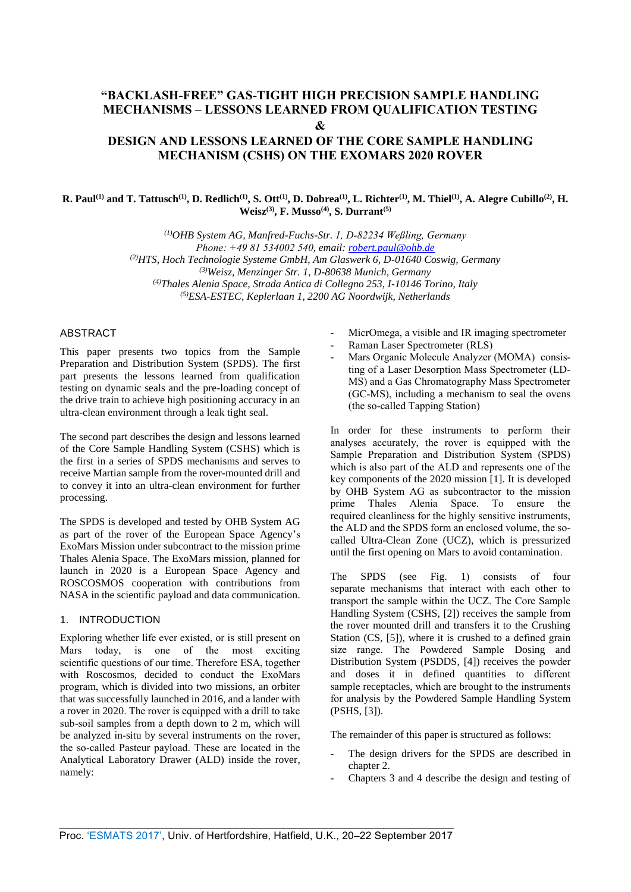# **"BACKLASH-FREE" GAS-TIGHT HIGH PRECISION SAMPLE HANDLING MECHANISMS – LESSONS LEARNED FROM QUALIFICATION TESTING &**

## **DESIGN AND LESSONS LEARNED OF THE CORE SAMPLE HANDLING MECHANISM (CSHS) ON THE EXOMARS 2020 ROVER**

#### R. Paul<sup>(1)</sup> and T. Tattusch<sup>(1)</sup>, D. Redlich<sup>(1)</sup>, S. Ott<sup>(1)</sup>, D. Dobrea<sup>(1)</sup>, L. Richter<sup>(1)</sup>, M. Thiel<sup>(1)</sup>, A. Alegre Cubillo<sup>(2)</sup>, H. **Weisz(3), F. Musso(4), S. Durrant(5)**

*(1)OHB System AG, Manfred-Fuchs-Str. 1, D-82234 Weßling, Germany Phone: +49 81 534002 540, email: robert.paul@ohb.de (2)HTS, Hoch Technologie Systeme GmbH, Am Glaswerk 6, D-01640 Coswig, Germany (3)Weisz, Menzinger Str. 1, D-80638 Munich, Germany (4)Thales Alenia Space, Strada Antica di Coll[egno 253, I-10146 Tor](mailto:robert.paul@ohb.de)ino, Italy (5)ESA-ESTEC, Keplerlaan 1, 2200 AG Noordwijk, Netherlands*

#### ABSTRACT

This paper presents two topics from the Sample Preparation and Distribution System (SPDS). The first part presents the lessons learned from qualification testing on dynamic seals and the pre-loading concept of the drive train to achieve high positioning accuracy in an ultra-clean environment through a leak tight seal.

The second part describes the design and lessons learned of the Core Sample Handling System (CSHS) which is the first in a series of SPDS mechanisms and serves to receive Martian sample from the rover-mounted drill and to convey it into an ultra-clean environment for further processing.

The SPDS is developed and tested by OHB System AG as part of the rover of the European Space Agency's ExoMars Mission under subcontract to the mission prime Thales Alenia Space. The ExoMars mission, planned for launch in 2020 is a European Space Agency and ROSCOSMOS cooperation with contributions from NASA in the scientific payload and data communication.

#### 1. INTRODUCTION

Exploring whether life ever existed, or is still present on Mars today, is one of the most exciting scientific questions of our time. Therefore ESA, together with Roscosmos, decided to conduct the ExoMars program, which is divided into two missions, an orbiter that was successfully launched in 2016, and a lander with a rover in 2020. The rover is equipped with a drill to take sub-soil samples from a depth down to 2 m, which will be analyzed in-situ by several instruments on the rover, the so-called Pasteur payload. These are located in the Analytical Laboratory Drawer (ALD) inside the rover, namely:

- MicrOmega, a visible and IR imaging spectrometer
- Raman Laser Spectrometer (RLS)
- Mars Organic Molecule Analyzer (MOMA) consisting of a Laser Desorption Mass Spectrometer (LD-MS) and a Gas Chromatography Mass Spectrometer (GC-MS), including a mechanism to seal the ovens (the so-called Tapping Station)

In order for these instruments to perform their analyses accurately, the rover is equipped with the Sample Preparation and Distribution System (SPDS) which is also part of the ALD and represents one of the key components of the 2020 mission [1]. It is developed by OHB System AG as subcontractor to the mission prime Thales Alenia Space. To ensure the required cleanliness for the highly sensitive instruments, the ALD and the SPDS form an enclosed volume, the socalled Ultra-Clean Zone (UCZ), which is pressurized until the first opening on Mars to avoid contamination.

The SPDS (see Fig. 1) consists of four separate mechanisms that interact with each other to transport the sample within the UCZ. The Core Sample Handling System (CSHS, [2]) receives the sample from the rover mounted drill and transfers it to the Crushing Station (CS, [5]), where it is crushed to a defined grain size range. The Powdered Sample Dosing and Distribution System (PSDDS, [4]) receives the powder and doses it in defined quantities to different sample receptacles, which are brought to the instruments for analysis by the Powdered Sample Handling System (PSHS, [3]).

The remainder of this paper is structured as follows:

- The design drivers for the SPDS are described in chapter 2.
- Chapters 3 and 4 describe the design and testing of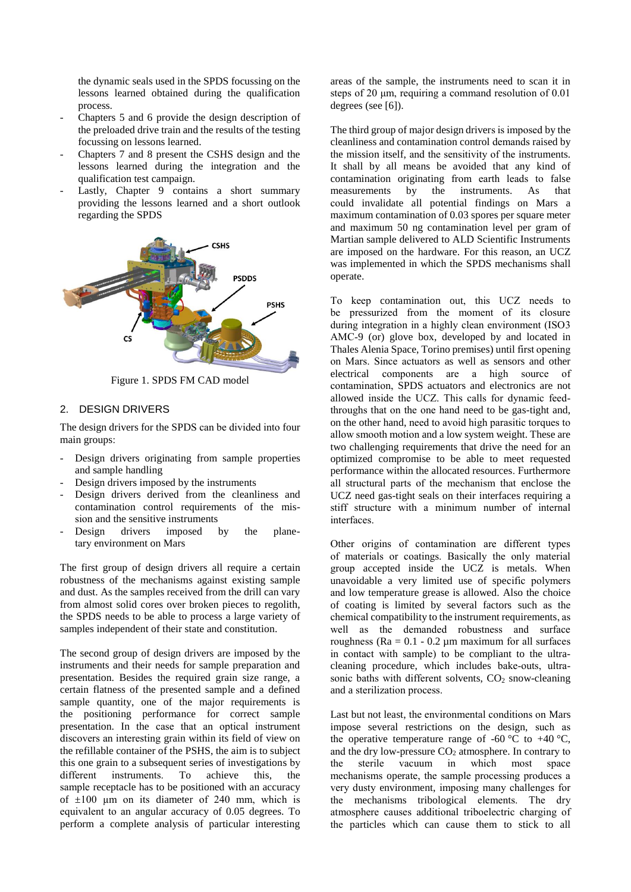the dynamic seals used in the SPDS focussing on the lessons learned obtained during the qualification process.

- Chapters 5 and 6 provide the design description of the preloaded drive train and the results of the testing focussing on lessons learned.
- Chapters 7 and 8 present the CSHS design and the lessons learned during the integration and the qualification test campaign.
- Lastly, Chapter 9 contains a short summary providing the lessons learned and a short outlook regarding the SPDS



Figure 1. SPDS FM CAD model

## 2. DESIGN DRIVERS

The design drivers for the SPDS can be divided into four main groups:

- Design drivers originating from sample properties and sample handling
- Design drivers imposed by the instruments
- Design drivers derived from the cleanliness and contamination control requirements of the mission and the sensitive instruments
- Design drivers imposed by the planetary environment on Mars

The first group of design drivers all require a certain robustness of the mechanisms against existing sample and dust. As the samples received from the drill can vary from almost solid cores over broken pieces to regolith, the SPDS needs to be able to process a large variety of samples independent of their state and constitution.

The second group of design drivers are imposed by the instruments and their needs for sample preparation and presentation. Besides the required grain size range, a certain flatness of the presented sample and a defined sample quantity, one of the major requirements is the positioning performance for correct sample presentation. In the case that an optical instrument discovers an interesting grain within its field of view on the refillable container of the PSHS, the aim is to subject this one grain to a subsequent series of investigations by different instruments. To achieve this, the sample receptacle has to be positioned with an accuracy of  $\pm 100$  um on its diameter of 240 mm, which is equivalent to an angular accuracy of 0.05 degrees. To perform a complete analysis of particular interesting

areas of the sample, the instruments need to scan it in steps of 20 μm, requiring a command resolution of 0.01 degrees (see [6]).

The third group of major design drivers is imposed by the cleanliness and contamination control demands raised by the mission itself, and the sensitivity of the instruments. It shall by all means be avoided that any kind of contamination originating from earth leads to false measurements by the instruments. As that could invalidate all potential findings on Mars a maximum contamination of 0.03 spores per square meter and maximum 50 ng contamination level per gram of Martian sample delivered to ALD Scientific Instruments are imposed on the hardware. For this reason, an UCZ was implemented in which the SPDS mechanisms shall operate.

To keep contamination out, this UCZ needs to be pressurized from the moment of its closure during integration in a highly clean environment (ISO3 AMC-9 (or) glove box, developed by and located in Thales Alenia Space, Torino premises) until first opening on Mars. Since actuators as well as sensors and other electrical components are a high source of contamination, SPDS actuators and electronics are not allowed inside the UCZ. This calls for dynamic feedthroughs that on the one hand need to be gas-tight and, on the other hand, need to avoid high parasitic torques to allow smooth motion and a low system weight. These are two challenging requirements that drive the need for an optimized compromise to be able to meet requested performance within the allocated resources. Furthermore all structural parts of the mechanism that enclose the UCZ need gas-tight seals on their interfaces requiring a stiff structure with a minimum number of internal interfaces.

Other origins of contamination are different types of materials or coatings. Basically the only material group accepted inside the UCZ is metals. When unavoidable a very limited use of specific polymers and low temperature grease is allowed. Also the choice of coating is limited by several factors such as the chemical compatibility to the instrument requirements, as well as the demanded robustness and surface roughness ( $Ra = 0.1 - 0.2 \mu m$  maximum for all surfaces in contact with sample) to be compliant to the ultracleaning procedure, which includes bake-outs, ultrasonic baths with different solvents,  $CO<sub>2</sub>$  snow-cleaning and a sterilization process.

Last but not least, the environmental conditions on Mars impose several restrictions on the design, such as the operative temperature range of -60 °C to +40 °C, and the dry low-pressure  $CO<sub>2</sub>$  atmosphere. In contrary to the sterile vacuum in which most space mechanisms operate, the sample processing produces a very dusty environment, imposing many challenges for the mechanisms tribological elements. The dry atmosphere causes additional triboelectric charging of the particles which can cause them to stick to all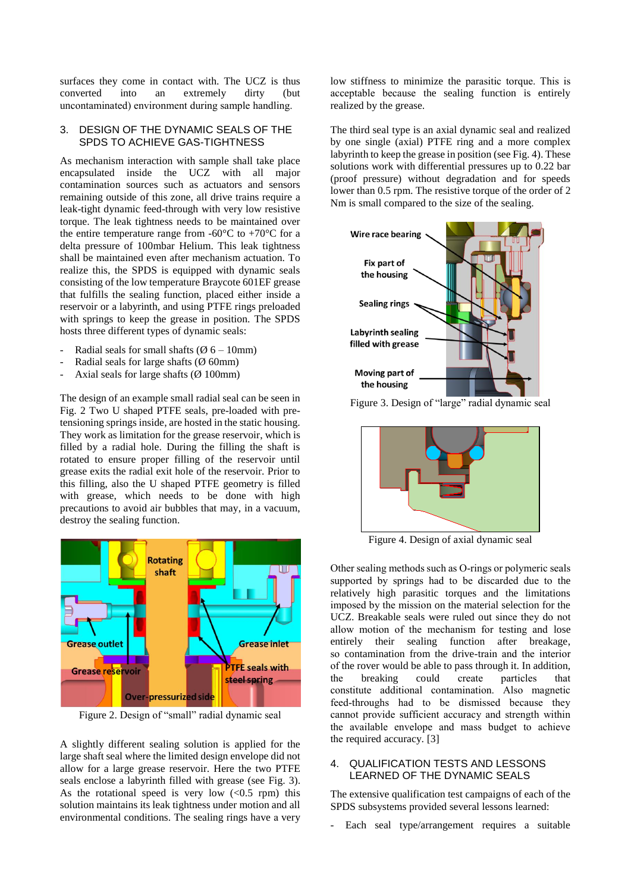surfaces they come in contact with. The UCZ is thus converted into an extremely dirty (but uncontaminated) environment during sample handling.

#### 3. DESIGN OF THE DYNAMIC SEALS OF THE SPDS TO ACHIEVE GAS-TIGHTNESS

As mechanism interaction with sample shall take place encapsulated inside the UCZ with all major contamination sources such as actuators and sensors remaining outside of this zone, all drive trains require a leak-tight dynamic feed-through with very low resistive torque. The leak tightness needs to be maintained over the entire temperature range from -60 $^{\circ}$ C to +70 $^{\circ}$ C for a delta pressure of 100mbar Helium. This leak tightness shall be maintained even after mechanism actuation. To realize this, the SPDS is equipped with dynamic seals consisting of the low temperature Braycote 601EF grease that fulfills the sealing function, placed either inside a reservoir or a labyrinth, and using PTFE rings preloaded with springs to keep the grease in position. The SPDS hosts three different types of dynamic seals:

- Radial seals for small shafts ( $\varnothing$  6 10mm)
- Radial seals for large shafts ( $\varnothing$  60mm)
- Axial seals for large shafts  $(\emptyset 100 \text{mm})$

The design of an example small radial seal can be seen in Fig. 2 Two U shaped PTFE seals, pre-loaded with pretensioning springs inside, are hosted in the static housing. They work as limitation for the grease reservoir, which is filled by a radial hole. During the filling the shaft is rotated to ensure proper filling of the reservoir until grease exits the radial exit hole of the reservoir. Prior to this filling, also the U shaped PTFE geometry is filled with grease, which needs to be done with high precautions to avoid air bubbles that may, in a vacuum, destroy the sealing function.



Figure 2. Design of "small" radial dynamic seal

A slightly different sealing solution is applied for the large shaft seal where the limited design envelope did not allow for a large grease reservoir. Here the two PTFE seals enclose a labyrinth filled with grease (see Fig. 3). As the rotational speed is very low  $( $0.5$  rpm) this$ solution maintains its leak tightness under motion and all environmental conditions. The sealing rings have a very low stiffness to minimize the parasitic torque. This is acceptable because the sealing function is entirely realized by the grease.

The third seal type is an axial dynamic seal and realized by one single (axial) PTFE ring and a more complex labyrinth to keep the grease in position (see Fig. 4). These solutions work with differential pressures up to 0.22 bar (proof pressure) without degradation and for speeds lower than 0.5 rpm. The resistive torque of the order of 2 Nm is small compared to the size of the sealing.



Figure 3. Design of "large" radial dynamic seal



Figure 4. Design of axial dynamic seal

Other sealing methods such as O-rings or polymeric seals supported by springs had to be discarded due to the relatively high parasitic torques and the limitations imposed by the mission on the material selection for the UCZ. Breakable seals were ruled out since they do not allow motion of the mechanism for testing and lose entirely their sealing function after breakage, so contamination from the drive-train and the interior of the rover would be able to pass through it. In addition, the breaking could create particles that constitute additional contamination. Also magnetic feed-throughs had to be dismissed because they cannot provide sufficient accuracy and strength within the available envelope and mass budget to achieve the required accuracy. [3]

#### 4. QUALIFICATION TESTS AND LESSONS LEARNED OF THE DYNAMIC SEALS

The extensive qualification test campaigns of each of the SPDS subsystems provided several lessons learned:

- Each seal type/arrangement requires a suitable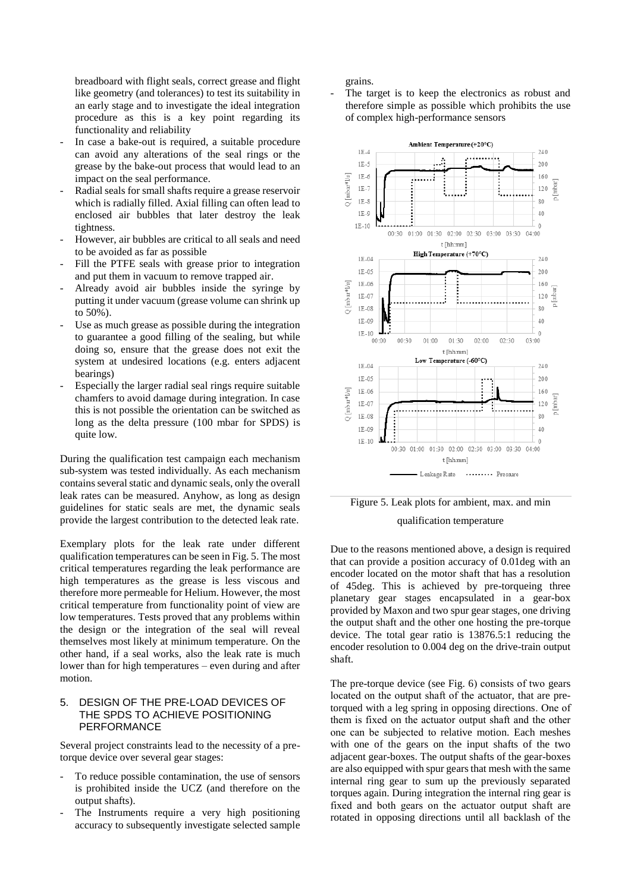breadboard with flight seals, correct grease and flight like geometry (and tolerances) to test its suitability in an early stage and to investigate the ideal integration procedure as this is a key point regarding its functionality and reliability

- In case a bake-out is required, a suitable procedure can avoid any alterations of the seal rings or the grease by the bake-out process that would lead to an impact on the seal performance.
- Radial seals for small shafts require a grease reservoir which is radially filled. Axial filling can often lead to enclosed air bubbles that later destroy the leak tightness.
- However, air bubbles are critical to all seals and need to be avoided as far as possible
- Fill the PTFE seals with grease prior to integration and put them in vacuum to remove trapped air.
- Already avoid air bubbles inside the syringe by putting it under vacuum (grease volume can shrink up to 50%).
- Use as much grease as possible during the integration to guarantee a good filling of the sealing, but while doing so, ensure that the grease does not exit the system at undesired locations (e.g. enters adjacent bearings)
- Especially the larger radial seal rings require suitable chamfers to avoid damage during integration. In case this is not possible the orientation can be switched as long as the delta pressure (100 mbar for SPDS) is quite low.

During the qualification test campaign each mechanism sub-system was tested individually. As each mechanism contains several static and dynamic seals, only the overall leak rates can be measured. Anyhow, as long as design guidelines for static seals are met, the dynamic seals provide the largest contribution to the detected leak rate.

Exemplary plots for the leak rate under different qualification temperatures can be seen in Fig. 5. The most critical temperatures regarding the leak performance are high temperatures as the grease is less viscous and therefore more permeable for Helium. However, the most critical temperature from functionality point of view are low temperatures. Tests proved that any problems within the design or the integration of the seal will reveal themselves most likely at minimum temperature. On the other hand, if a seal works, also the leak rate is much lower than for high temperatures – even during and after motion.

#### 5. DESIGN OF THE PRE-LOAD DEVICES OF THE SPDS TO ACHIEVE POSITIONING PERFORMANCE

Several project constraints lead to the necessity of a pretorque device over several gear stages:

- To reduce possible contamination, the use of sensors is prohibited inside the UCZ (and therefore on the output shafts).
- The Instruments require a very high positioning accuracy to subsequently investigate selected sample

grains.

The target is to keep the electronics as robust and therefore simple as possible which prohibits the use of complex high-performance sensors





Due to the reasons mentioned above, a design is required that can provide a position accuracy of 0.01deg with an encoder located on the motor shaft that has a resolution of 45deg. This is achieved by pre-torqueing three planetary gear stages encapsulated in a gear-box provided by Maxon and two spur gear stages, one driving the output shaft and the other one hosting the pre-torque device. The total gear ratio is 13876.5:1 reducing the encoder resolution to 0.004 deg on the drive-train output shaft.

The pre-torque device (see Fig. 6) consists of two gears located on the output shaft of the actuator, that are pretorqued with a leg spring in opposing directions. One of them is fixed on the actuator output shaft and the other one can be subjected to relative motion. Each meshes with one of the gears on the input shafts of the two adjacent gear-boxes. The output shafts of the gear-boxes are also equipped with spur gears that mesh with the same internal ring gear to sum up the previously separated torques again. During integration the internal ring gear is fixed and both gears on the actuator output shaft are rotated in opposing directions until all backlash of the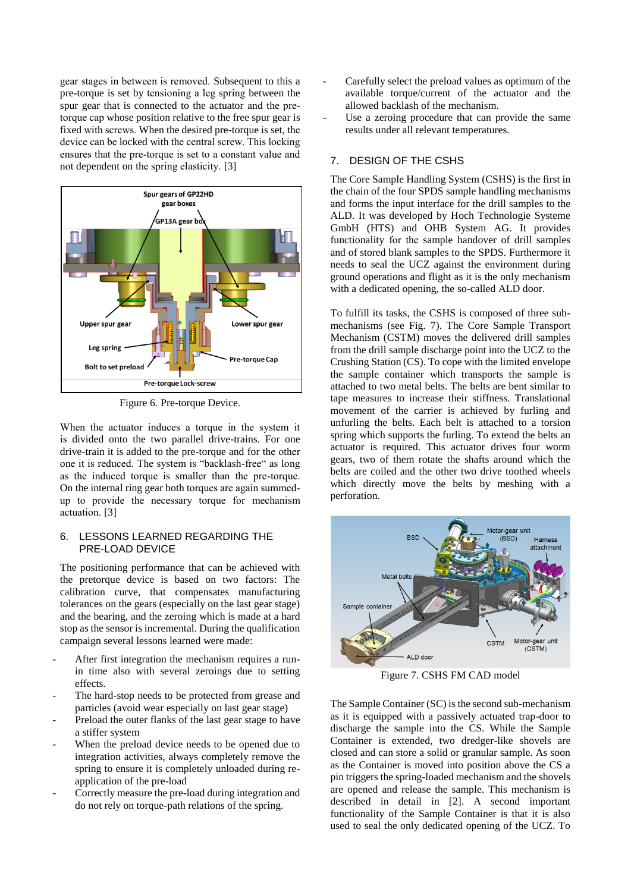gear stages in between is removed. Subsequent to this a pre-torque is set by tensioning a leg spring between the spur gear that is connected to the actuator and the pretorque cap whose position relative to the free spur gear is fixed with screws. When the desired pre-torque is set, the device can be locked with the central screw. This locking ensures that the pre-torque is set to a constant value and not dependent on the spring elasticity. [3]



Figure 6. Pre-torque Device.

When the actuator induces a torque in the system it is divided onto the two parallel drive-trains. For one drive-train it is added to the pre-torque and for the other one it is reduced. The system is "backlash-free" as long as the induced torque is smaller than the pre-torque. On the internal ring gear both torques are again summedup to provide the necessary torque for mechanism actuation. [3]

#### 6. LESSONS LEARNED REGARDING THE PRE-LOAD DEVICE

The positioning performance that can be achieved with the pretorque device is based on two factors: The calibration curve, that compensates manufacturing tolerances on the gears (especially on the last gear stage) and the bearing, and the zeroing which is made at a hard stop as the sensor is incremental. During the qualification campaign several lessons learned were made:

- After first integration the mechanism requires a runin time also with several zeroings due to setting effects.
- The hard-stop needs to be protected from grease and particles (avoid wear especially on last gear stage)
- Preload the outer flanks of the last gear stage to have a stiffer system
- When the preload device needs to be opened due to integration activities, always completely remove the spring to ensure it is completely unloaded during reapplication of the pre-load
- Correctly measure the pre-load during integration and do not rely on torque-path relations of the spring.
- Carefully select the preload values as optimum of the available torque/current of the actuator and the allowed backlash of the mechanism.
- Use a zeroing procedure that can provide the same results under all relevant temperatures.

## 7. DESIGN OF THE CSHS

The Core Sample Handling System (CSHS) is the first in the chain of the four SPDS sample handling mechanisms and forms the input interface for the drill samples to the ALD. It was developed by Hoch Technologie Systeme GmbH (HTS) and OHB System AG. It provides functionality for the sample handover of drill samples and of stored blank samples to the SPDS. Furthermore it needs to seal the UCZ against the environment during ground operations and flight as it is the only mechanism with a dedicated opening, the so-called ALD door.

To fulfill its tasks, the CSHS is composed of three submechanisms (see Fig. 7). The Core Sample Transport Mechanism (CSTM) moves the delivered drill samples from the drill sample discharge point into the UCZ to the Crushing Station (CS). To cope with the limited envelope the sample container which transports the sample is attached to two metal belts. The belts are bent similar to tape measures to increase their stiffness. Translational movement of the carrier is achieved by furling and unfurling the belts. Each belt is attached to a torsion spring which supports the furling. To extend the belts an actuator is required. This actuator drives four worm gears, two of them rotate the shafts around which the belts are coiled and the other two drive toothed wheels which directly move the belts by meshing with a perforation.



Figure 7. CSHS FM CAD model

The Sample Container (SC) is the second sub-mechanism as it is equipped with a passively actuated trap-door to discharge the sample into the CS. While the Sample Container is extended, two dredger-like shovels are closed and can store a solid or granular sample. As soon as the Container is moved into position above the CS a pin triggers the spring-loaded mechanism and the shovels are opened and release the sample. This mechanism is described in detail in [\[2\]](#page-7-0). A second important functionality of the Sample Container is that it is also used to seal the only dedicated opening of the UCZ. To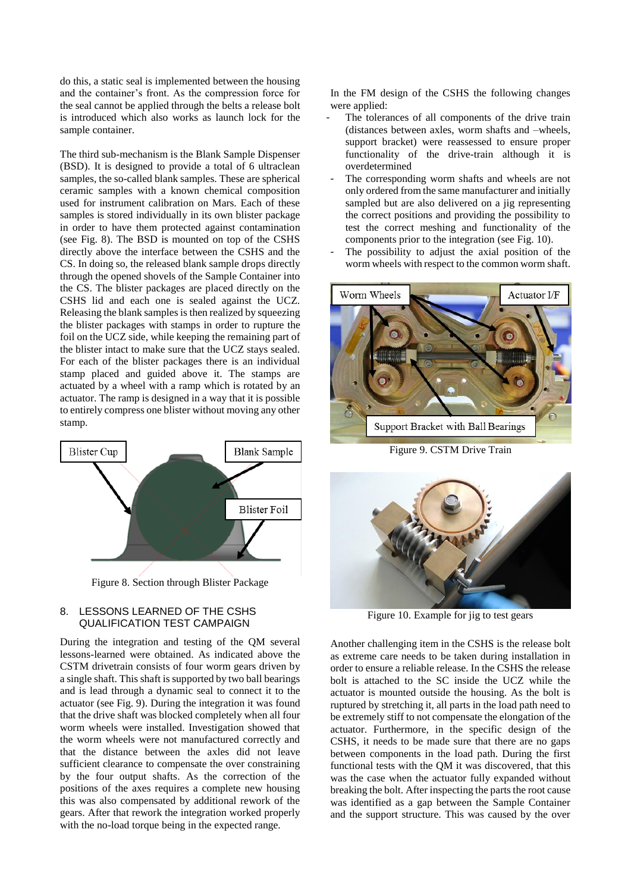do this, a static seal is implemented between the housing and the container's front. As the compression force for the seal cannot be applied through the belts a release bolt is introduced which also works as launch lock for the sample container.

The third sub-mechanism is the Blank Sample Dispenser (BSD). It is designed to provide a total of 6 ultraclean samples, the so-called blank samples. These are spherical ceramic samples with a known chemical composition used for instrument calibration on Mars. Each of these samples is stored individually in its own blister package in order to have them protected against contamination (see Fig. 8). The BSD is mounted on top of the CSHS directly above the interface between the CSHS and the CS. In doing so, the released blank sample drops directly through the opened shovels of the Sample Container into the CS. The blister packages are placed directly on the CSHS lid and each one is sealed against the UCZ. Releasing the blank samples is then realized by squeezing the blister packages with stamps in order to rupture the foil on the UCZ side, while keeping the remaining part of the blister intact to make sure that the UCZ stays sealed. For each of the blister packages there is an individual stamp placed and guided above it. The stamps are actuated by a wheel with a ramp which is rotated by an actuator. The ramp is designed in a way that it is possible to entirely compress one blister without moving any other stamp.



Figure 8. Section through Blister Package

### 8. LESSONS LEARNED OF THE CSHS QUALIFICATION TEST CAMPAIGN

During the integration and testing of the QM several lessons-learned were obtained. As indicated above the CSTM drivetrain consists of four worm gears driven by a single shaft. This shaft is supported by two ball bearings and is lead through a dynamic seal to connect it to the actuator (see Fig. 9). During the integration it was found that the drive shaft was blocked completely when all four worm wheels were installed. Investigation showed that the worm wheels were not manufactured correctly and that the distance between the axles did not leave sufficient clearance to compensate the over constraining by the four output shafts. As the correction of the positions of the axes requires a complete new housing this was also compensated by additional rework of the gears. After that rework the integration worked properly with the no-load torque being in the expected range.

In the FM design of the CSHS the following changes were applied:

- The tolerances of all components of the drive train (distances between axles, worm shafts and –wheels, support bracket) were reassessed to ensure proper functionality of the drive-train although it is overdetermined
- The corresponding worm shafts and wheels are not only ordered from the same manufacturer and initially sampled but are also delivered on a jig representing the correct positions and providing the possibility to test the correct meshing and functionality of the components prior to the integration (see Fig. 10).
- The possibility to adjust the axial position of the worm wheels with respect to the common worm shaft.



Figure 9. CSTM Drive Train



Figure 10. Example for jig to test gears

Another challenging item in the CSHS is the release bolt as extreme care needs to be taken during installation in order to ensure a reliable release. In the CSHS the release bolt is attached to the SC inside the UCZ while the actuator is mounted outside the housing. As the bolt is ruptured by stretching it, all parts in the load path need to be extremely stiff to not compensate the elongation of the actuator. Furthermore, in the specific design of the CSHS, it needs to be made sure that there are no gaps between components in the load path. During the first functional tests with the QM it was discovered, that this was the case when the actuator fully expanded without breaking the bolt. After inspecting the parts the root cause was identified as a gap between the Sample Container and the support structure. This was caused by the over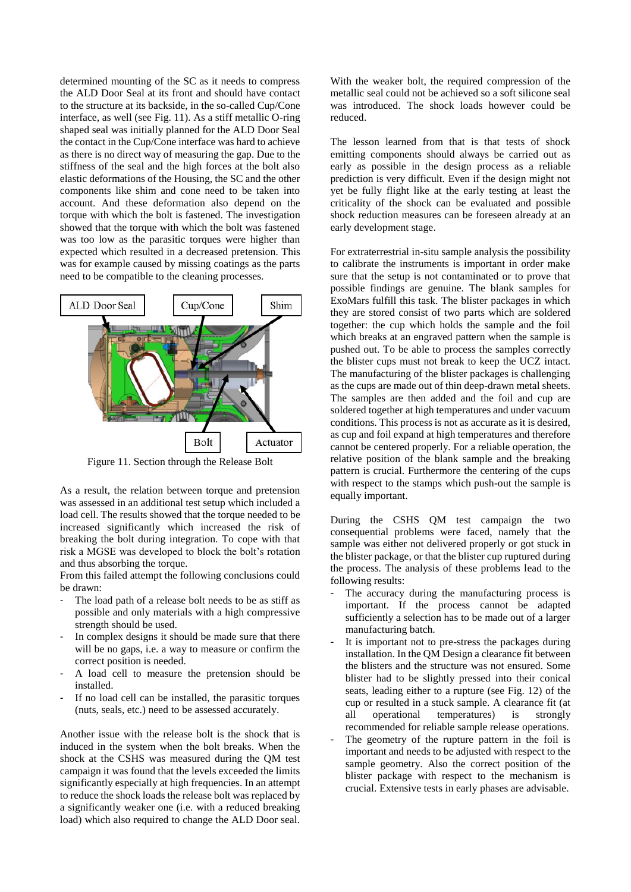determined mounting of the SC as it needs to compress the ALD Door Seal at its front and should have contact to the structure at its backside, in the so-called Cup/Cone interface, as well (see Fig. 11). As a stiff metallic O-ring shaped seal was initially planned for the ALD Door Seal the contact in the Cup/Cone interface was hard to achieve as there is no direct way of measuring the gap. Due to the stiffness of the seal and the high forces at the bolt also elastic deformations of the Housing, the SC and the other components like shim and cone need to be taken into account. And these deformation also depend on the torque with which the bolt is fastened. The investigation showed that the torque with which the bolt was fastened was too low as the parasitic torques were higher than expected which resulted in a decreased pretension. This was for example caused by missing coatings as the parts need to be compatible to the cleaning processes.



Figure 11. Section through the Release Bolt

As a result, the relation between torque and pretension was assessed in an additional test setup which included a load cell. The results showed that the torque needed to be increased significantly which increased the risk of breaking the bolt during integration. To cope with that risk a MGSE was developed to block the bolt's rotation and thus absorbing the torque.

From this failed attempt the following conclusions could be drawn:

- The load path of a release bolt needs to be as stiff as possible and only materials with a high compressive strength should be used.
- In complex designs it should be made sure that there will be no gaps, i.e. a way to measure or confirm the correct position is needed.
- A load cell to measure the pretension should be installed.
- If no load cell can be installed, the parasitic torques (nuts, seals, etc.) need to be assessed accurately.

Another issue with the release bolt is the shock that is induced in the system when the bolt breaks. When the shock at the CSHS was measured during the QM test campaign it was found that the levels exceeded the limits significantly especially at high frequencies. In an attempt to reduce the shock loads the release bolt was replaced by a significantly weaker one (i.e. with a reduced breaking load) which also required to change the ALD Door seal.

With the weaker bolt, the required compression of the metallic seal could not be achieved so a soft silicone seal was introduced. The shock loads however could be reduced.

The lesson learned from that is that tests of shock emitting components should always be carried out as early as possible in the design process as a reliable prediction is very difficult. Even if the design might not yet be fully flight like at the early testing at least the criticality of the shock can be evaluated and possible shock reduction measures can be foreseen already at an early development stage.

For extraterrestrial in-situ sample analysis the possibility to calibrate the instruments is important in order make sure that the setup is not contaminated or to prove that possible findings are genuine. The blank samples for ExoMars fulfill this task. The blister packages in which they are stored consist of two parts which are soldered together: the cup which holds the sample and the foil which breaks at an engraved pattern when the sample is pushed out. To be able to process the samples correctly the blister cups must not break to keep the UCZ intact. The manufacturing of the blister packages is challenging as the cups are made out of thin deep-drawn metal sheets. The samples are then added and the foil and cup are soldered together at high temperatures and under vacuum conditions. This process is not as accurate as it is desired, as cup and foil expand at high temperatures and therefore cannot be centered properly. For a reliable operation, the relative position of the blank sample and the breaking pattern is crucial. Furthermore the centering of the cups with respect to the stamps which push-out the sample is equally important.

During the CSHS QM test campaign the two consequential problems were faced, namely that the sample was either not delivered properly or got stuck in the blister package, or that the blister cup ruptured during the process. The analysis of these problems lead to the following results:

- The accuracy during the manufacturing process is important. If the process cannot be adapted sufficiently a selection has to be made out of a larger manufacturing batch.
- It is important not to pre-stress the packages during installation. In the QM Design a clearance fit between the blisters and the structure was not ensured. Some blister had to be slightly pressed into their conical seats, leading either to a rupture (see Fig. 12) of the cup or resulted in a stuck sample. A clearance fit (at all operational temperatures) is strongly recommended for reliable sample release operations.
- The geometry of the rupture pattern in the foil is important and needs to be adjusted with respect to the sample geometry. Also the correct position of the blister package with respect to the mechanism is crucial. Extensive tests in early phases are advisable.